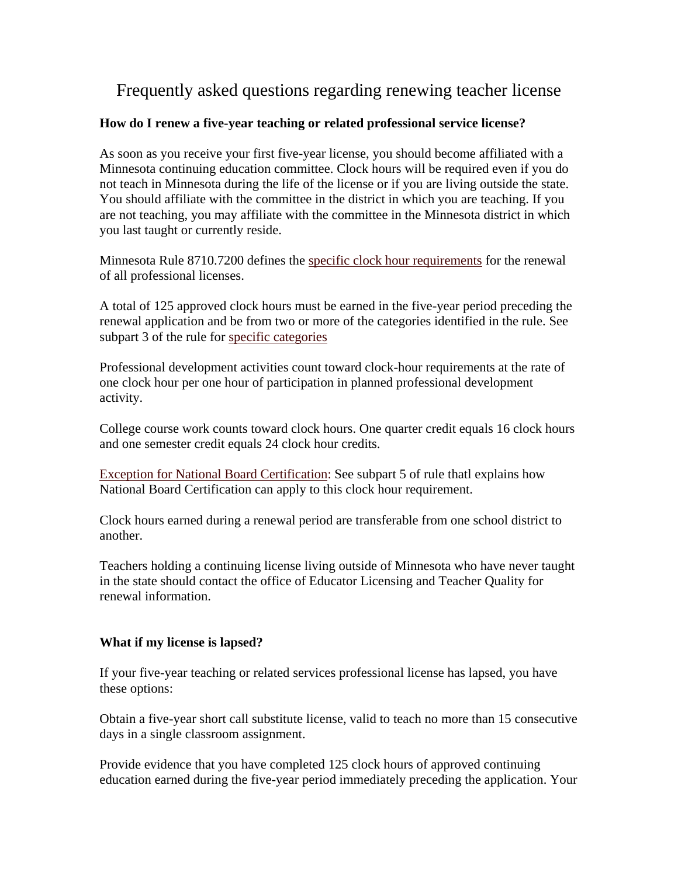## Frequently asked questions regarding renewing teacher license

## **How do I renew a five-year teaching or related professional service license?**

As soon as you receive your first five-year license, you should become affiliated with a Minnesota continuing education committee. Clock hours will be required even if you do not teach in Minnesota during the life of the license or if you are living outside the state. You should affiliate with the committee in the district in which you are teaching. If you are not teaching, you may affiliate with the committee in the Minnesota district in which you last taught or currently reside.

Minnesota Rule 8710.7200 defines the specific clock hour requirements for the renewal of all professional licenses.

A total of 125 approved clock hours must be earned in the five-year period preceding the renewal application and be from two or more of the categories identified in the rule. See subpart 3 of the rule for specific categories

Professional development activities count toward clock-hour requirements at the rate of one clock hour per one hour of participation in planned professional development activity.

College course work counts toward clock hours. One quarter credit equals 16 clock hours and one semester credit equals 24 clock hour credits.

Exception for National Board Certification: See subpart 5 of rule thatl explains how National Board Certification can apply to this clock hour requirement.

Clock hours earned during a renewal period are transferable from one school district to another.

Teachers holding a continuing license living outside of Minnesota who have never taught in the state should contact the office of Educator Licensing and Teacher Quality for renewal information.

## **What if my license is lapsed?**

If your five-year teaching or related services professional license has lapsed, you have these options:

Obtain a five-year short call substitute license, valid to teach no more than 15 consecutive days in a single classroom assignment.

Provide evidence that you have completed 125 clock hours of approved continuing education earned during the five-year period immediately preceding the application. Your